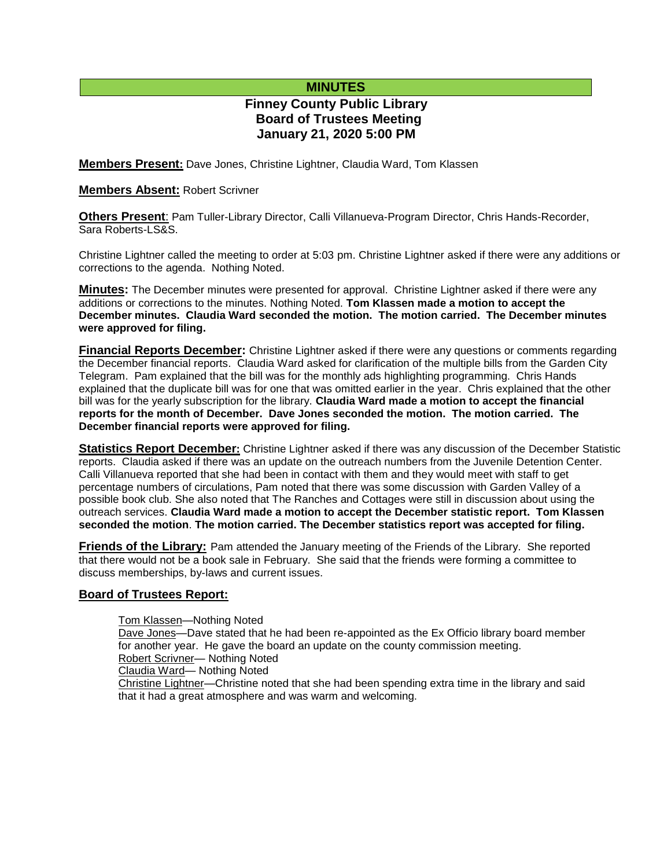# **MINUTES**

# **Finney County Public Library Board of Trustees Meeting January 21, 2020 5:00 PM**

**Members Present:** Dave Jones, Christine Lightner, Claudia Ward, Tom Klassen

### **Members Absent:** Robert Scrivner

**Others Present**: Pam Tuller-Library Director, Calli Villanueva-Program Director, Chris Hands-Recorder, Sara Roberts-LS&S

Christine Lightner called the meeting to order at 5:03 pm. Christine Lightner asked if there were any additions or corrections to the agenda. Nothing Noted.

**Minutes:** The December minutes were presented for approval. Christine Lightner asked if there were any additions or corrections to the minutes. Nothing Noted. **Tom Klassen made a motion to accept the December minutes. Claudia Ward seconded the motion. The motion carried. The December minutes were approved for filing.** 

**Financial Reports December:** Christine Lightner asked if there were any questions or comments regarding the December financial reports. Claudia Ward asked for clarification of the multiple bills from the Garden City Telegram. Pam explained that the bill was for the monthly ads highlighting programming. Chris Hands explained that the duplicate bill was for one that was omitted earlier in the year. Chris explained that the other bill was for the yearly subscription for the library. **Claudia Ward made a motion to accept the financial reports for the month of December. Dave Jones seconded the motion. The motion carried. The December financial reports were approved for filing.**

**Statistics Report December:** Christine Lightner asked if there was any discussion of the December Statistic reports. Claudia asked if there was an update on the outreach numbers from the Juvenile Detention Center. Calli Villanueva reported that she had been in contact with them and they would meet with staff to get percentage numbers of circulations, Pam noted that there was some discussion with Garden Valley of a possible book club. She also noted that The Ranches and Cottages were still in discussion about using the outreach services. **Claudia Ward made a motion to accept the December statistic report. Tom Klassen seconded the motion**. **The motion carried. The December statistics report was accepted for filing.**

**Friends of the Library:** Pam attended the January meeting of the Friends of the Library. She reported that there would not be a book sale in February. She said that the friends were forming a committee to discuss memberships, by-laws and current issues.

# **Board of Trustees Report:**

Tom Klassen—Nothing Noted Dave Jones—Dave stated that he had been re-appointed as the Ex Officio library board member for another year. He gave the board an update on the county commission meeting. Robert Scrivner— Nothing Noted Claudia Ward— Nothing Noted Christine Lightner—Christine noted that she had been spending extra time in the library and said that it had a great atmosphere and was warm and welcoming.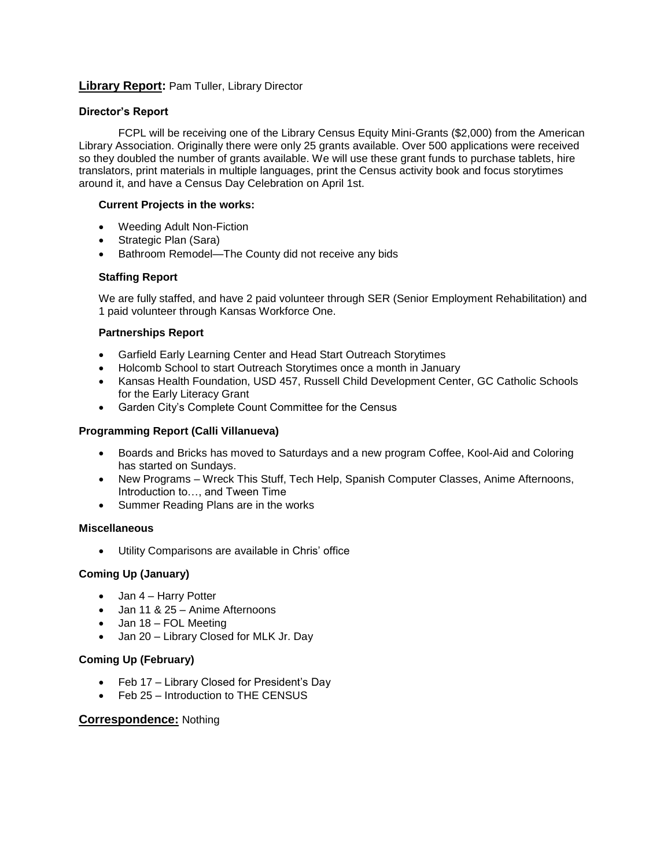# **Library Report:** Pam Tuller, Library Director

### **Director's Report**

FCPL will be receiving one of the Library Census Equity Mini-Grants (\$2,000) from the American Library Association. Originally there were only 25 grants available. Over 500 applications were received so they doubled the number of grants available. We will use these grant funds to purchase tablets, hire translators, print materials in multiple languages, print the Census activity book and focus storytimes around it, and have a Census Day Celebration on April 1st.

#### **Current Projects in the works:**

- Weeding Adult Non-Fiction
- Strategic Plan (Sara)
- Bathroom Remodel—The County did not receive any bids

#### **Staffing Report**

We are fully staffed, and have 2 paid volunteer through SER (Senior Employment Rehabilitation) and 1 paid volunteer through Kansas Workforce One.

#### **Partnerships Report**

- Garfield Early Learning Center and Head Start Outreach Storytimes
- Holcomb School to start Outreach Storytimes once a month in January
- Kansas Health Foundation, USD 457, Russell Child Development Center, GC Catholic Schools for the Early Literacy Grant
- Garden City's Complete Count Committee for the Census

#### **Programming Report (Calli Villanueva)**

- Boards and Bricks has moved to Saturdays and a new program Coffee, Kool-Aid and Coloring has started on Sundays.
- New Programs Wreck This Stuff, Tech Help, Spanish Computer Classes, Anime Afternoons, Introduction to…, and Tween Time
- Summer Reading Plans are in the works

### **Miscellaneous**

Utility Comparisons are available in Chris' office

# **Coming Up (January)**

- Jan 4 Harry Potter
- Jan 11 & 25 Anime Afternoons
- Jan 18 FOL Meeting
- Jan 20 Library Closed for MLK Jr. Day

#### **Coming Up (February)**

- Feb 17 Library Closed for President's Day
- Feb 25 Introduction to THE CENSUS

#### **Correspondence:** Nothing